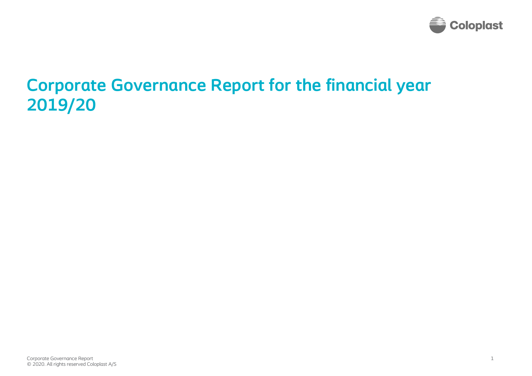

# **Corporate Governance Report for the financial year 2019/20**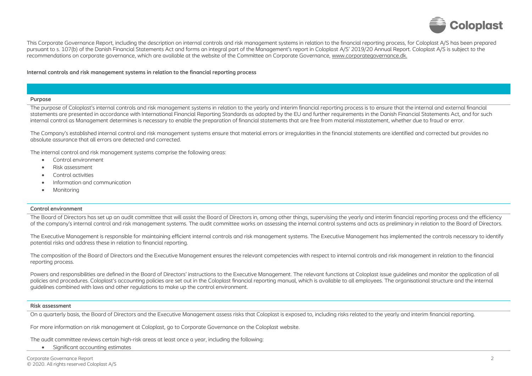

This Corporate Governance Report, including the description on internal controls and risk management systems in relation to the financial reporting process, for Coloplast A/S has been prepared pursuant to s. 107(b) of the Danish Financial Statements Act and forms an integral part of the Management's report in Coloplast A/S' 2019/20 Annual Report. Coloplast A/S is subject to the recommendations on corporate governance, which are available at the website of the Committee on Corporate Governance[, www.corporategovernance.dk.](https://corporategovernance.dk/)

## **Internal controls and risk management systems in relation to the financial reporting process**

#### **Purpose**

The purpose of Coloplast's internal controls and risk management systems in relation to the yearly and interim financial reporting process is to ensure that the internal and external financial statements are presented in accordance with International Financial Reporting Standards as adopted by the EU and further requirements in the Danish Financial Statements Act, and for such internal control as Management determines is necessary to enable the preparation of financial statements that are free from material misstatement, whether due to fraud or error.

The Company's established internal control and risk management systems ensure that material errors or irregularities in the financial statements are identified and corrected but provides no absolute assurance that all errors are detected and corrected.

The internal control and risk management systems comprise the following areas:

- Control environment
- Risk assessment
- Control activities
- Information and communication
- **Monitoring**

## **Control environment**

The Board of Directors has set up an audit committee that will assist the Board of Directors in, among other things, supervising the yearly and interim financial reporting process and the efficiency of the company's internal control and risk management systems. The audit committee works on assessing the internal control systems and acts as preliminary in relation to the Board of Directors.

The Executive Management is responsible for maintaining efficient internal controls and risk management systems. The Executive Management has implemented the controls necessary to identify potential risks and address these in relation to financial reporting.

The composition of the Board of Directors and the Executive Management ensures the relevant competencies with respect to internal controls and risk management in relation to the financial reporting process.

Powers and responsibilities are defined in the Board of Directors' instructions to the Executive Management. The relevant functions at Coloplast issue quidelines and monitor the application of all policies and procedures. Coloplast's accounting policies are set out in the Coloplast financial reporting manual, which is available to all employees. The organisational structure and the internal guidelines combined with laws and other regulations to make up the control environment.

## **Risk assessment**

On a quarterly basis, the Board of Directors and the Executive Management assess risks that Coloplast is exposed to, including risks related to the yearly and interim financial reporting.

For more information on risk management at Coloplast, go to Corporate Governance on the Coloplast [website.](https://www.coloplast.com/Investor-Relations/Corporate-Governance/)

The audit committee reviews certain high-risk areas at least once a year, including the following:

• Significant accounting estimates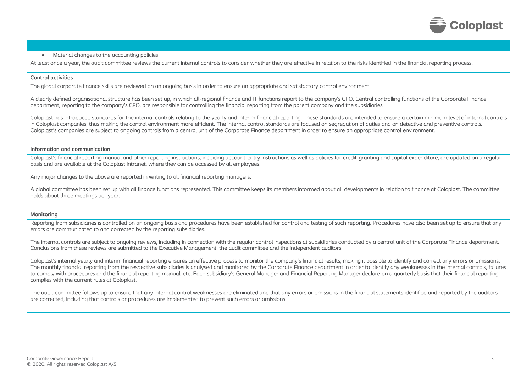

## • Material changes to the accounting policies

At least once a year, the audit committee reviews the current internal controls to consider whether they are effective in relation to the risks identified in the financial reporting process.

#### **Control activities**

The global corporate finance skills are reviewed on an ongoing basis in order to ensure an appropriate and satisfactory control environment.

A clearly defined organisational structure has been set up, in which all-regional finance and IT functions report to the company's CFO. Central controlling functions of the Corporate Finance department, reporting to the company's CFO, are responsible for controlling the financial reporting from the parent company and the subsidiaries.

Coloplast has introduced standards for the internal controls relating to the yearly and interim financial reporting. These standards are intended to ensure a certain minimum level of internal controls in Coloplast companies, thus making the control environment more efficient. The internal control standards are focused on segregation of duties and on detective and preventive controls. Coloplast's companies are subject to ongoing controls from a central unit of the Corporate Finance department in order to ensure an appropriate control environment.

## **Information and communication**

Coloplast's financial reporting manual and other reporting instructions, including account-entry instructions as well as policies for credit-granting and capital expenditure, are updated on a regular basis and are available at the Coloplast intranet, where they can be accessed by all employees.

Any major changes to the above are reported in writing to all financial reporting managers.

A global committee has been set up with all finance functions represented. This committee keeps its members informed about all developments in relation to finance at Coloplast. The committee holds about three meetings per year.

## **Monitoring**

Reporting from subsidiaries is controlled on an ongoing basis and procedures have been established for control and testing of such reporting. Procedures have also been set up to ensure that any errors are communicated to and corrected by the reporting subsidiaries.

The internal controls are subject to ongoing reviews, including in connection with the regular control inspections at subsidiaries conducted by a central unit of the Corporate Finance department. Conclusions from these reviews are submitted to the Executive Management, the audit committee and the independent auditors.

Coloplast's internal yearly and interim financial reporting ensures an effective process to monitor the company's financial results, making it possible to identify and correct any errors or omissions. The monthly financial reporting from the respective subsidiaries is analysed and monitored by the Corporate Finance department in order to identify any weaknesses in the internal controls, failures to comply with procedures and the financial reporting manual, etc. Each subsidiary's General Manager and Financial Reporting Manager declare on a quarterly basis that their financial reporting complies with the current rules at Coloplast.

The audit committee follows up to ensure that any internal control weaknesses are eliminated and that any errors or omissions in the financial statements identified and reported by the auditors are corrected, including that controls or procedures are implemented to prevent such errors or omissions.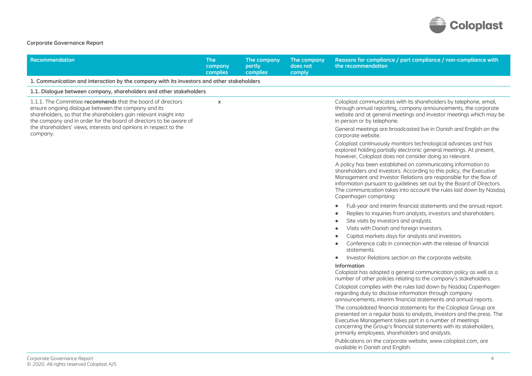

## **Corporate Governance Report**

| Recommendation                                                                                                                                                                                                                                                | <b>The</b><br>company<br>complies | The company<br>partly<br><b>complies</b> | The company<br>does not<br>comply | Reasons for compliance / part compliance / non-compliance with<br>the recommendation                                                                                                                                                                                                                                                                                               |
|---------------------------------------------------------------------------------------------------------------------------------------------------------------------------------------------------------------------------------------------------------------|-----------------------------------|------------------------------------------|-----------------------------------|------------------------------------------------------------------------------------------------------------------------------------------------------------------------------------------------------------------------------------------------------------------------------------------------------------------------------------------------------------------------------------|
| 1. Communication and interaction by the company with its investors and other stakeholders                                                                                                                                                                     |                                   |                                          |                                   |                                                                                                                                                                                                                                                                                                                                                                                    |
| 1.1. Dialogue between company, shareholders and other stakeholders                                                                                                                                                                                            |                                   |                                          |                                   |                                                                                                                                                                                                                                                                                                                                                                                    |
| 1.1.1. The Committee recommends that the board of directors<br>ensure ongoing dialogue between the company and its<br>shareholders, so that the shareholders gain relevant insight into<br>the company and in order for the board of directors to be aware of | $\mathsf{x}$                      |                                          |                                   | Coloplast communicates with its shareholders by telephone, email,<br>through annual reporting, company announcements, the corporate<br>website and at general meetings and investor meetings which may be<br>in person or by telephone.                                                                                                                                            |
| the shareholders' views, interests and opinions in respect to the<br>company.                                                                                                                                                                                 |                                   |                                          |                                   | General meetings are broadcasted live in Danish and English on the<br>corporate website.                                                                                                                                                                                                                                                                                           |
|                                                                                                                                                                                                                                                               |                                   |                                          |                                   | Coloplast continuously monitors technological advances and has<br>explored holding partially electronic general meetings. At present,<br>however, Coloplast does not consider doing so relevant.                                                                                                                                                                                   |
|                                                                                                                                                                                                                                                               |                                   |                                          |                                   | A policy has been established on communicating information to<br>shareholders and investors. According to this policy, the Executive<br>Management and Investor Relations are responsible for the flow of<br>information pursuant to guidelines set out by the Board of Directors.<br>The communication takes into account the rules laid down by Nasdaq<br>Copenhagen comprising: |
|                                                                                                                                                                                                                                                               |                                   |                                          |                                   | Full-year and interim financial statements and the annual report.                                                                                                                                                                                                                                                                                                                  |
|                                                                                                                                                                                                                                                               |                                   |                                          |                                   | Replies to inquiries from analysts, investors and shareholders.                                                                                                                                                                                                                                                                                                                    |
|                                                                                                                                                                                                                                                               |                                   |                                          |                                   | Site visits by investors and analysts.                                                                                                                                                                                                                                                                                                                                             |
|                                                                                                                                                                                                                                                               |                                   |                                          |                                   | Visits with Danish and foreign investors.<br>٠                                                                                                                                                                                                                                                                                                                                     |
|                                                                                                                                                                                                                                                               |                                   |                                          |                                   | Capital markets days for analysts and investors.                                                                                                                                                                                                                                                                                                                                   |
|                                                                                                                                                                                                                                                               |                                   |                                          |                                   | Conference calls in connection with the release of financial<br>$\bullet$<br>statements.                                                                                                                                                                                                                                                                                           |
|                                                                                                                                                                                                                                                               |                                   |                                          |                                   | Investor Relations section on the corporate website.<br>٠                                                                                                                                                                                                                                                                                                                          |
|                                                                                                                                                                                                                                                               |                                   |                                          |                                   | Information<br>Coloplast has adopted a general communication policy as well as a<br>number of other policies relating to the company's stakeholders.                                                                                                                                                                                                                               |
|                                                                                                                                                                                                                                                               |                                   |                                          |                                   | Coloplast complies with the rules laid down by Nasdaq Copenhagen<br>regarding duty to disclose information through company<br>announcements, interim financial statements and annual reports.                                                                                                                                                                                      |
|                                                                                                                                                                                                                                                               |                                   |                                          |                                   | The consolidated financial statements for the Coloplast Group are<br>presented on a regular basis to analysts, investors and the press. The<br>Executive Management takes part in a number of meetings<br>concerning the Group's financial statements with its stakeholders,<br>primarily employees, shareholders and analysts.                                                    |
|                                                                                                                                                                                                                                                               |                                   |                                          |                                   | Publications on the corporate website, www.coloplast.com, are<br>available in Danish and English.                                                                                                                                                                                                                                                                                  |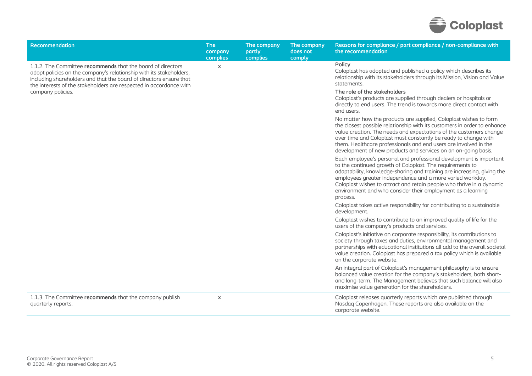

| <b>Recommendation</b>                                                                                                                                                                                                                                                          | <b>The</b><br>company<br>complies | The company<br>partly<br>complies | The company<br>does not<br>comply | Reasons for compliance / part compliance / non-compliance with<br>the recommendation                                                                                                                                                                                                                                                                                                                                         |
|--------------------------------------------------------------------------------------------------------------------------------------------------------------------------------------------------------------------------------------------------------------------------------|-----------------------------------|-----------------------------------|-----------------------------------|------------------------------------------------------------------------------------------------------------------------------------------------------------------------------------------------------------------------------------------------------------------------------------------------------------------------------------------------------------------------------------------------------------------------------|
| 1.1.2. The Committee recommends that the board of directors<br>adopt policies on the company's relationship with its stakeholders,<br>including shareholders and that the board of directors ensure that<br>the interests of the stakeholders are respected in accordance with | X                                 |                                   |                                   | Policy<br>Coloplast has adopted and published a policy which describes its<br>relationship with its stakeholders through its Mission, Vision and Value<br>statements.                                                                                                                                                                                                                                                        |
| company policies.                                                                                                                                                                                                                                                              |                                   |                                   |                                   | The role of the stakeholders<br>Coloplast's products are supplied through dealers or hospitals or<br>directly to end users. The trend is towards more direct contact with<br>end users.                                                                                                                                                                                                                                      |
|                                                                                                                                                                                                                                                                                |                                   |                                   |                                   | No matter how the products are supplied, Coloplast wishes to form<br>the closest possible relationship with its customers in order to enhance<br>value creation. The needs and expectations of the customers change<br>over time and Coloplast must constantly be ready to change with<br>them. Healthcare professionals and end users are involved in the<br>development of new products and services on an on-going basis. |
|                                                                                                                                                                                                                                                                                |                                   |                                   |                                   | Each employee's personal and professional development is important<br>to the continued growth of Coloplast. The requirements to<br>adaptability, knowledge-sharing and training are increasing, giving the<br>employees greater independence and a more varied workday.<br>Coloplast wishes to attract and retain people who thrive in a dynamic<br>environment and who consider their employment as a learning<br>process.  |
|                                                                                                                                                                                                                                                                                |                                   |                                   |                                   | Coloplast takes active responsibility for contributing to a sustainable<br>development.                                                                                                                                                                                                                                                                                                                                      |
|                                                                                                                                                                                                                                                                                |                                   |                                   |                                   | Coloplast wishes to contribute to an improved quality of life for the<br>users of the company's products and services.                                                                                                                                                                                                                                                                                                       |
|                                                                                                                                                                                                                                                                                |                                   |                                   |                                   | Coloplast's initiative on corporate responsibility, its contributions to<br>society through taxes and duties, environmental management and<br>partnerships with educational institutions all add to the overall societal<br>value creation. Coloplast has prepared a tax policy which is available<br>on the corporate website.                                                                                              |
|                                                                                                                                                                                                                                                                                |                                   |                                   |                                   | An integral part of Coloplast's management philosophy is to ensure<br>balanced value creation for the company's stakeholders, both short-<br>and long-term. The Management believes that such balance will also<br>maximise value generation for the shareholders.                                                                                                                                                           |
| 1.1.3. The Committee recommends that the company publish<br>quarterly reports.                                                                                                                                                                                                 | $\pmb{\mathsf{X}}$                |                                   |                                   | Coloplast releases quarterly reports which are published through<br>Nasdaq Copenhagen. These reports are also available on the<br>corporate website.                                                                                                                                                                                                                                                                         |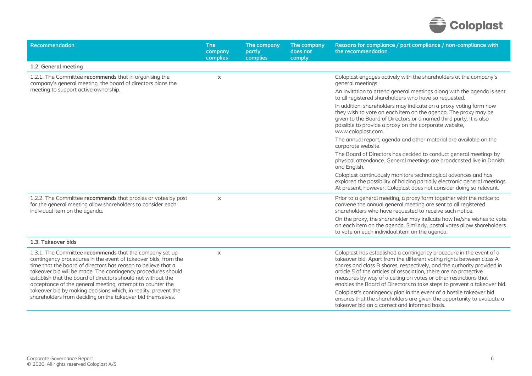

| Recommendation                                                                                                                                                                                                                                                                                                                                                                                                                                                                                                           | <b>The</b><br>company<br>complies | The company<br>partly<br>complies | The company<br>does not<br>comply | Reasons for compliance / part compliance / non-compliance with<br>the recommendation                                                                                                                                                                                                                                                                                                                                                                                                                                                                                                      |
|--------------------------------------------------------------------------------------------------------------------------------------------------------------------------------------------------------------------------------------------------------------------------------------------------------------------------------------------------------------------------------------------------------------------------------------------------------------------------------------------------------------------------|-----------------------------------|-----------------------------------|-----------------------------------|-------------------------------------------------------------------------------------------------------------------------------------------------------------------------------------------------------------------------------------------------------------------------------------------------------------------------------------------------------------------------------------------------------------------------------------------------------------------------------------------------------------------------------------------------------------------------------------------|
| 1.2. General meeting                                                                                                                                                                                                                                                                                                                                                                                                                                                                                                     |                                   |                                   |                                   |                                                                                                                                                                                                                                                                                                                                                                                                                                                                                                                                                                                           |
| 1.2.1. The Committee recommends that in organising the<br>company's general meeting, the board of directors plans the                                                                                                                                                                                                                                                                                                                                                                                                    | $\mathsf{x}$                      |                                   |                                   | Coloplast engages actively with the shareholders at the company's<br>general meetings.                                                                                                                                                                                                                                                                                                                                                                                                                                                                                                    |
| meeting to support active ownership.                                                                                                                                                                                                                                                                                                                                                                                                                                                                                     |                                   |                                   |                                   | An invitation to attend general meetings along with the agenda is sent<br>to all registered shareholders who have so requested.                                                                                                                                                                                                                                                                                                                                                                                                                                                           |
|                                                                                                                                                                                                                                                                                                                                                                                                                                                                                                                          |                                   |                                   |                                   | In addition, shareholders may indicate on a proxy voting form how<br>they wish to vote on each item on the agenda. The proxy may be<br>given to the Board of Directors or a named third party. It is also<br>possible to provide a proxy on the corporate website,<br>www.coloplast.com.                                                                                                                                                                                                                                                                                                  |
|                                                                                                                                                                                                                                                                                                                                                                                                                                                                                                                          |                                   |                                   |                                   | The annual report, agenda and other material are available on the<br>corporate website.                                                                                                                                                                                                                                                                                                                                                                                                                                                                                                   |
|                                                                                                                                                                                                                                                                                                                                                                                                                                                                                                                          |                                   |                                   |                                   | The Board of Directors has decided to conduct general meetings by<br>physical attendance. General meetings are broadcasted live in Danish<br>and English.                                                                                                                                                                                                                                                                                                                                                                                                                                 |
|                                                                                                                                                                                                                                                                                                                                                                                                                                                                                                                          |                                   |                                   |                                   | Coloplast continuously monitors technological advances and has<br>explored the possibility of holding partially electronic general meetings.<br>At present, however, Coloplast does not consider doing so relevant.                                                                                                                                                                                                                                                                                                                                                                       |
| 1.2.2. The Committee recommends that proxies or votes by post<br>for the general meeting allow shareholders to consider each<br>individual item on the agenda.                                                                                                                                                                                                                                                                                                                                                           | $\pmb{\times}$                    |                                   |                                   | Prior to a general meeting, a proxy form together with the notice to<br>convene the annual general meeting are sent to all registered<br>shareholders who have requested to receive such notice.                                                                                                                                                                                                                                                                                                                                                                                          |
|                                                                                                                                                                                                                                                                                                                                                                                                                                                                                                                          |                                   |                                   |                                   | On the proxy, the shareholder may indicate how he/she wishes to vote<br>on each item on the agenda. Similarly, postal votes allow shareholders<br>to vote on each individual item on the agenda.                                                                                                                                                                                                                                                                                                                                                                                          |
| 1.3. Takeover bids                                                                                                                                                                                                                                                                                                                                                                                                                                                                                                       |                                   |                                   |                                   |                                                                                                                                                                                                                                                                                                                                                                                                                                                                                                                                                                                           |
| 1.3.1. The Committee recommends that the company set up<br>contingency procedures in the event of takeover bids, from the<br>time that the board of directors has reason to believe that a<br>takeover bid will be made. The contingency procedures should<br>establish that the board of directors should not without the<br>acceptance of the general meeting, attempt to counter the<br>takeover bid by making decisions which, in reality, prevent the<br>shareholders from deciding on the takeover bid themselves. | $\pmb{\times}$                    |                                   |                                   | Coloplast has established a contingency procedure in the event of a<br>takeover bid. Apart from the different voting rights between class A<br>shares and class B shares, respectively, and the authority provided in<br>article 5 of the articles of association, there are no protective<br>measures by way of a ceiling on votes or other restrictions that<br>enables the Board of Directors to take steps to prevent a takeover bid.<br>Coloplast's contingency plan in the event of a hostile takeover bid<br>ensures that the shareholders are given the opportunity to evaluate a |
|                                                                                                                                                                                                                                                                                                                                                                                                                                                                                                                          |                                   |                                   |                                   | takeover bid on a correct and informed basis.                                                                                                                                                                                                                                                                                                                                                                                                                                                                                                                                             |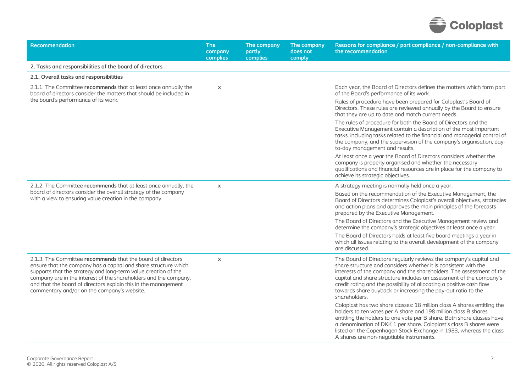

| Recommendation                                                                                                                                                                                                                                                                                                                                                                        | <b>The</b><br>company<br>complies | The company<br>partly<br>complies | The company<br>does not<br>comply | Reasons for compliance / part compliance / non-compliance with<br>the recommendation                                                                                                                                                                                                                                                                                                                                                          |
|---------------------------------------------------------------------------------------------------------------------------------------------------------------------------------------------------------------------------------------------------------------------------------------------------------------------------------------------------------------------------------------|-----------------------------------|-----------------------------------|-----------------------------------|-----------------------------------------------------------------------------------------------------------------------------------------------------------------------------------------------------------------------------------------------------------------------------------------------------------------------------------------------------------------------------------------------------------------------------------------------|
| 2. Tasks and responsibilities of the board of directors                                                                                                                                                                                                                                                                                                                               |                                   |                                   |                                   |                                                                                                                                                                                                                                                                                                                                                                                                                                               |
| 2.1. Overall tasks and responsibilities                                                                                                                                                                                                                                                                                                                                               |                                   |                                   |                                   |                                                                                                                                                                                                                                                                                                                                                                                                                                               |
| 2.1.1. The Committee recommends that at least once annually the<br>board of directors consider the matters that should be included in                                                                                                                                                                                                                                                 | $\mathsf{x}$                      |                                   |                                   | Each year, the Board of Directors defines the matters which form part<br>of the Board's performance of its work.                                                                                                                                                                                                                                                                                                                              |
| the board's performance of its work.                                                                                                                                                                                                                                                                                                                                                  |                                   |                                   |                                   | Rules of procedure have been prepared for Coloplast's Board of<br>Directors. These rules are reviewed annually by the Board to ensure<br>that they are up to date and match current needs.                                                                                                                                                                                                                                                    |
|                                                                                                                                                                                                                                                                                                                                                                                       |                                   |                                   |                                   | The rules of procedure for both the Board of Directors and the<br>Executive Management contain a description of the most important<br>tasks, including tasks related to the financial and managerial control of<br>the company, and the supervision of the company's organisation, day-<br>to-day management and results.                                                                                                                     |
|                                                                                                                                                                                                                                                                                                                                                                                       |                                   |                                   |                                   | At least once a year the Board of Directors considers whether the<br>company is properly organised and whether the necessary<br>qualifications and financial resources are in place for the company to<br>achieve its strategic objectives.                                                                                                                                                                                                   |
| 2.1.2. The Committee recommends that at least once annually, the                                                                                                                                                                                                                                                                                                                      | $\boldsymbol{\mathsf{x}}$         |                                   |                                   | A strategy meeting is normally held once a year.                                                                                                                                                                                                                                                                                                                                                                                              |
| board of directors consider the overall strategy of the company<br>with a view to ensuring value creation in the company.                                                                                                                                                                                                                                                             |                                   |                                   |                                   | Based on the recommendation of the Executive Management, the<br>Board of Directors determines Coloplast's overall objectives, strategies<br>and action plans and approves the main principles of the forecasts<br>prepared by the Executive Management.                                                                                                                                                                                       |
|                                                                                                                                                                                                                                                                                                                                                                                       |                                   |                                   |                                   | The Board of Directors and the Executive Management review and<br>determine the company's strategic objectives at least once a year.                                                                                                                                                                                                                                                                                                          |
|                                                                                                                                                                                                                                                                                                                                                                                       |                                   |                                   |                                   | The Board of Directors holds at least five board meetings a year in<br>which all issues relating to the overall development of the company<br>are discussed.                                                                                                                                                                                                                                                                                  |
| 2.1.3. The Committee recommends that the board of directors<br>ensure that the company has a capital and share structure which<br>supports that the strategy and long-term value creation of the<br>company are in the interest of the shareholders and the company,<br>and that the board of directors explain this in the management<br>commentary and/or on the company's website. | $\boldsymbol{\mathsf{x}}$         |                                   |                                   | The Board of Directors regularly reviews the company's capital and<br>share structure and considers whether it is consistent with the<br>interests of the company and the shareholders. The assessment of the<br>capital and share structure includes an assessment of the company's<br>credit rating and the possibility of allocating a positive cash flow<br>towards share buyback or increasing the pay-out ratio to the<br>shareholders. |
|                                                                                                                                                                                                                                                                                                                                                                                       |                                   |                                   |                                   | Coloplast has two share classes: 18 million class A shares entitling the<br>holders to ten votes per A share and 198 million class B shares<br>entitling the holders to one vote per B share. Both share classes have<br>a denomination of DKK 1 per share. Coloplast's class B shares were<br>listed on the Copenhagen Stock Exchange in 1983, whereas the class<br>A shares are non-negotiable instruments.                                 |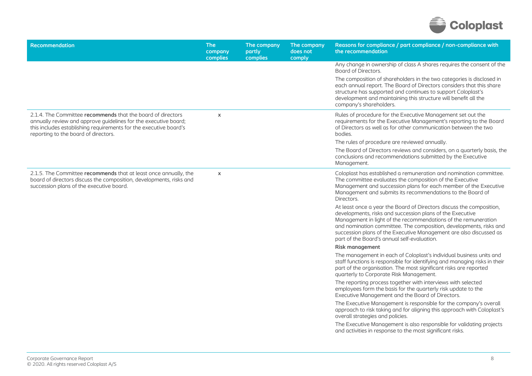

| Recommendation                                                                                                                                                                                                                              | The<br>company<br>complies | The company<br>partly<br>complies | The company<br>does not<br>comply | Reasons for compliance / part compliance / non-compliance with<br>the recommendation                                                                                                                                                                                                                                                                                                           |
|---------------------------------------------------------------------------------------------------------------------------------------------------------------------------------------------------------------------------------------------|----------------------------|-----------------------------------|-----------------------------------|------------------------------------------------------------------------------------------------------------------------------------------------------------------------------------------------------------------------------------------------------------------------------------------------------------------------------------------------------------------------------------------------|
|                                                                                                                                                                                                                                             |                            |                                   |                                   | Any change in ownership of class A shares requires the consent of the<br>Board of Directors.                                                                                                                                                                                                                                                                                                   |
|                                                                                                                                                                                                                                             |                            |                                   |                                   | The composition of shareholders in the two categories is disclosed in<br>each annual report. The Board of Directors considers that this share<br>structure has supported and continues to support Coloplast's<br>development and maintaining this structure will benefit all the<br>company's shareholders.                                                                                    |
| 2.1.4. The Committee recommends that the board of directors<br>annually review and approve guidelines for the executive board;<br>this includes establishing requirements for the executive board's<br>reporting to the board of directors. | $\pmb{\chi}$               |                                   |                                   | Rules of procedure for the Executive Management set out the<br>requirements for the Executive Management's reporting to the Board<br>of Directors as well as for other communication between the two<br>bodies.                                                                                                                                                                                |
|                                                                                                                                                                                                                                             |                            |                                   |                                   | The rules of procedure are reviewed annually.                                                                                                                                                                                                                                                                                                                                                  |
|                                                                                                                                                                                                                                             |                            |                                   |                                   | The Board of Directors reviews and considers, on a quarterly basis, the<br>conclusions and recommendations submitted by the Executive<br>Management.                                                                                                                                                                                                                                           |
| 2.1.5. The Committee recommends that at least once annually, the<br>board of directors discuss the composition, developments, risks and<br>succession plans of the executive board.                                                         | $\mathsf{x}$               |                                   |                                   | Coloplast has established a remuneration and nomination committee.<br>The committee evaluates the composition of the Executive<br>Management and succession plans for each member of the Executive<br>Management and submits its recommendations to the Board of<br>Directors.                                                                                                                 |
|                                                                                                                                                                                                                                             |                            |                                   |                                   | At least once a year the Board of Directors discuss the composition,<br>developments, risks and succession plans of the Executive<br>Management in light of the recommendations of the remuneration<br>and nomination committee. The composition, developments, risks and<br>succession plans of the Executive Management are also discussed as<br>part of the Board's annual self-evaluation. |
|                                                                                                                                                                                                                                             |                            |                                   |                                   | <b>Risk management</b>                                                                                                                                                                                                                                                                                                                                                                         |
|                                                                                                                                                                                                                                             |                            |                                   |                                   | The management in each of Coloplast's individual business units and<br>staff functions is responsible for identifying and managing risks in their<br>part of the organisation. The most significant risks are reported<br>quarterly to Corporate Risk Management.                                                                                                                              |
|                                                                                                                                                                                                                                             |                            |                                   |                                   | The reporting process together with interviews with selected<br>employees form the basis for the quarterly risk update to the<br>Executive Management and the Board of Directors.                                                                                                                                                                                                              |
|                                                                                                                                                                                                                                             |                            |                                   |                                   | The Executive Management is responsible for the company's overall<br>approach to risk taking and for aligning this approach with Coloplast's<br>overall strategies and policies.                                                                                                                                                                                                               |
|                                                                                                                                                                                                                                             |                            |                                   |                                   | The Executive Management is also responsible for validating projects<br>and activities in response to the most significant risks.                                                                                                                                                                                                                                                              |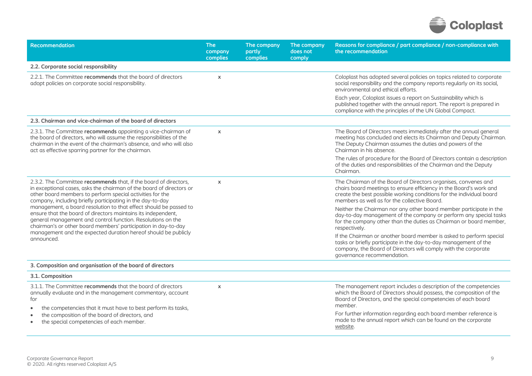

| <b>Recommendation</b>                                                                                                                                                                                                                                                                                                                                                                                                                                                                                                                                                                                                      | <b>The</b><br>company<br>complies | The company<br>partly<br>complies | The company<br>does not<br>comply | Reasons for compliance / part compliance / non-compliance with<br>the recommendation                                                                                                                                                                         |
|----------------------------------------------------------------------------------------------------------------------------------------------------------------------------------------------------------------------------------------------------------------------------------------------------------------------------------------------------------------------------------------------------------------------------------------------------------------------------------------------------------------------------------------------------------------------------------------------------------------------------|-----------------------------------|-----------------------------------|-----------------------------------|--------------------------------------------------------------------------------------------------------------------------------------------------------------------------------------------------------------------------------------------------------------|
| 2.2. Corporate social responsibility                                                                                                                                                                                                                                                                                                                                                                                                                                                                                                                                                                                       |                                   |                                   |                                   |                                                                                                                                                                                                                                                              |
| 2.2.1. The Committee recommends that the board of directors<br>adopt policies on corporate social responsibility.                                                                                                                                                                                                                                                                                                                                                                                                                                                                                                          | $\pmb{\times}$                    |                                   |                                   | Coloplast has adopted several policies on topics related to corporate<br>social responsibility and the company reports regularly on its social,<br>environmental and ethical efforts.                                                                        |
|                                                                                                                                                                                                                                                                                                                                                                                                                                                                                                                                                                                                                            |                                   |                                   |                                   | Each year, Coloplast issues a report on Sustainability which is<br>published together with the annual report. The report is prepared in<br>compliance with the principles of the UN Global Compact.                                                          |
| 2.3. Chairman and vice-chairman of the board of directors                                                                                                                                                                                                                                                                                                                                                                                                                                                                                                                                                                  |                                   |                                   |                                   |                                                                                                                                                                                                                                                              |
| 2.3.1. The Committee recommends appointing a vice-chairman of<br>the board of directors, who will assume the responsibilities of the<br>chairman in the event of the chairman's absence, and who will also<br>act as effective sparring partner for the chairman.                                                                                                                                                                                                                                                                                                                                                          | $\pmb{\times}$                    |                                   |                                   | The Board of Directors meets immediately after the annual general<br>meeting has concluded and elects its Chairman and Deputy Chairman.<br>The Deputy Chairman assumes the duties and powers of the<br>Chairman in his absence.                              |
|                                                                                                                                                                                                                                                                                                                                                                                                                                                                                                                                                                                                                            |                                   |                                   |                                   | The rules of procedure for the Board of Directors contain a description<br>of the duties and responsibilities of the Chairman and the Deputy<br>Chairman.                                                                                                    |
| 2.3.2. The Committee recommends that, if the board of directors,<br>in exceptional cases, asks the chairman of the board of directors or<br>other board members to perform special activities for the<br>company, including briefly participating in the day-to-day<br>management, a board resolution to that effect should be passed to<br>ensure that the board of directors maintains its independent,<br>general management and control function. Resolutions on the<br>chairman's or other board members' participation in day-to-day<br>management and the expected duration hereof should be publicly<br>announced. | $\pmb{\times}$                    |                                   |                                   | The Chairman of the Board of Directors organises, convenes and<br>chairs board meetings to ensure efficiency in the Board's work and<br>create the best possible working conditions for the individual board<br>members as well as for the collective Board. |
|                                                                                                                                                                                                                                                                                                                                                                                                                                                                                                                                                                                                                            |                                   |                                   |                                   | Neither the Chairman nor any other board member participate in the<br>day-to-day management of the company or perform any special tasks<br>for the company other than the duties as Chairman or board member,<br>respectively.                               |
|                                                                                                                                                                                                                                                                                                                                                                                                                                                                                                                                                                                                                            |                                   |                                   |                                   | If the Chairman or another board member is asked to perform special<br>tasks or briefly participate in the day-to-day management of the<br>company, the Board of Directors will comply with the corporate<br>governance recommendation.                      |
| 3. Composition and organisation of the board of directors                                                                                                                                                                                                                                                                                                                                                                                                                                                                                                                                                                  |                                   |                                   |                                   |                                                                                                                                                                                                                                                              |
| 3.1. Composition                                                                                                                                                                                                                                                                                                                                                                                                                                                                                                                                                                                                           |                                   |                                   |                                   |                                                                                                                                                                                                                                                              |
| 3.1.1. The Committee recommends that the board of directors<br>annually evaluate and in the management commentary, account<br>for<br>the competencies that it must have to best perform its tasks,                                                                                                                                                                                                                                                                                                                                                                                                                         | $\pmb{\times}$                    |                                   |                                   | The management report includes a description of the competencies<br>which the Board of Directors should possess, the composition of the<br>Board of Directors, and the special competencies of each board<br>member.                                         |
| the composition of the board of directors, and<br>٠<br>the special competencies of each member.                                                                                                                                                                                                                                                                                                                                                                                                                                                                                                                            |                                   |                                   |                                   | For further information regarding each board member reference is<br>made to the annual report which can be found on the corporate<br>website.                                                                                                                |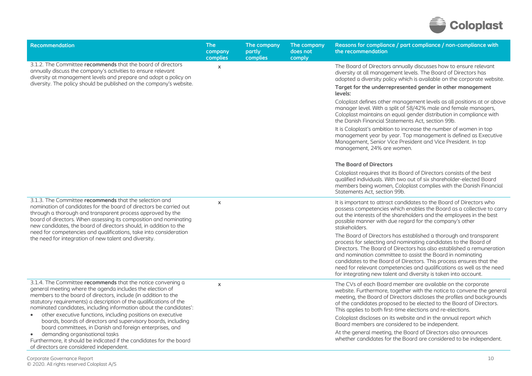

| <b>Recommendation</b>                                                                                                                                                                                                                                                                                                                  | <b>The</b><br>company<br>complies | The company<br>partly<br>complies | The company<br>does not<br>comply | Reasons for compliance / part compliance / non-compliance with<br>the recommendation                                                                                                                                                                                                                                                                                                                                                                                                           |
|----------------------------------------------------------------------------------------------------------------------------------------------------------------------------------------------------------------------------------------------------------------------------------------------------------------------------------------|-----------------------------------|-----------------------------------|-----------------------------------|------------------------------------------------------------------------------------------------------------------------------------------------------------------------------------------------------------------------------------------------------------------------------------------------------------------------------------------------------------------------------------------------------------------------------------------------------------------------------------------------|
| 3.1.2. The Committee recommends that the board of directors<br>annually discuss the company's activities to ensure relevant<br>diversity at management levels and prepare and adopt a policy on<br>diversity. The policy should be published on the company's website.                                                                 | $\mathsf{x}$                      |                                   |                                   | The Board of Directors annually discusses how to ensure relevant<br>diversity at all management levels. The Board of Directors has<br>adopted a diversity policy which is available on the corporate website.<br>Target for the underrepresented gender in other management<br>levels:                                                                                                                                                                                                         |
|                                                                                                                                                                                                                                                                                                                                        |                                   |                                   |                                   | Coloplast defines other management levels as all positions at or above<br>manager level. With a split of 58/42% male and female managers,<br>Coloplast maintains an equal gender distribution in compliance with<br>the Danish Financial Statements Act, section 99b.                                                                                                                                                                                                                          |
|                                                                                                                                                                                                                                                                                                                                        |                                   |                                   |                                   | It is Coloplast's ambition to increase the number of women in top<br>management year by year. Top management is defined as Executive<br>Management, Senior Vice President and Vice President. In top<br>management, 24% are women.                                                                                                                                                                                                                                                             |
|                                                                                                                                                                                                                                                                                                                                        |                                   |                                   |                                   | <b>The Board of Directors</b>                                                                                                                                                                                                                                                                                                                                                                                                                                                                  |
|                                                                                                                                                                                                                                                                                                                                        |                                   |                                   |                                   | Coloplast requires that its Board of Directors consists of the best<br>qualified individuals. With two out of six shareholder-elected Board<br>members being women, Coloplast complies with the Danish Financial<br>Statements Act. section 99b.                                                                                                                                                                                                                                               |
| 3.1.3. The Committee recommends that the selection and<br>nomination of candidates for the board of directors be carried out<br>through a thorough and transparent process approved by the<br>board of directors. When assessing its composition and nominating<br>new candidates, the board of directors should, in addition to the   | $\mathsf{x}$                      |                                   |                                   | It is important to attract candidates to the Board of Directors who<br>possess competencies which enables the Board as a collective to carry<br>out the interests of the shareholders and the employees in the best<br>possible manner with due regard for the company's other<br>stakeholders.                                                                                                                                                                                                |
| need for competencies and qualifications, take into consideration<br>the need for integration of new talent and diversity.                                                                                                                                                                                                             |                                   |                                   |                                   | The Board of Directors has established a thorough and transparent<br>process for selecting and nominating candidates to the Board of<br>Directors. The Board of Directors has also established a remuneration<br>and nomination committee to assist the Board in nominating<br>candidates to the Board of Directors. This process ensures that the<br>need for relevant competencies and qualifications as well as the need<br>for integrating new talent and diversity is taken into account. |
| 3.1.4. The Committee recommends that the notice convening a<br>general meeting where the agenda includes the election of<br>members to the board of directors, include (in addition to the<br>statutory requirements) a description of the qualifications of the<br>nominated candidates, including information about the candidates': | $\mathsf{x}$                      |                                   |                                   | The CVs of each Board member are available on the corporate<br>website. Furthermore, together with the notice to convene the general<br>meeting, the Board of Directors discloses the profiles and backgrounds<br>of the candidates proposed to be elected to the Board of Directors.<br>This applies to both first-time elections and re-elections.                                                                                                                                           |
| other executive functions, including positions on executive<br>$\bullet$<br>boards, boards of directors and supervisory boards, including                                                                                                                                                                                              |                                   |                                   |                                   | Coloplast discloses on its website and in the annual report which<br>Board members are considered to be independent.                                                                                                                                                                                                                                                                                                                                                                           |
| board committees, in Danish and foreign enterprises, and<br>demanding organisational tasks<br>$\bullet$<br>Furthermore, it should be indicated if the candidates for the board<br>of directors are considered independent.                                                                                                             |                                   |                                   |                                   | At the general meeting, the Board of Directors also announces<br>whether candidates for the Board are considered to be independent.                                                                                                                                                                                                                                                                                                                                                            |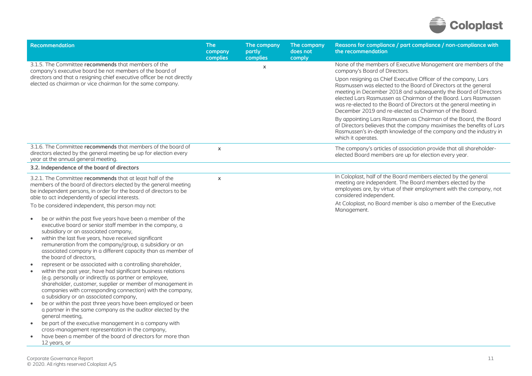

| <b>Recommendation</b>                                                                                                                                                                                                                                                                                                                                                                  | <b>The</b><br>company<br>complies | The company<br>partly<br>complies | The company<br>does not<br>comply | Reasons for compliance / part compliance / non-compliance with<br>the recommendation                                                                                                                                                                                                                                                                                                                    |
|----------------------------------------------------------------------------------------------------------------------------------------------------------------------------------------------------------------------------------------------------------------------------------------------------------------------------------------------------------------------------------------|-----------------------------------|-----------------------------------|-----------------------------------|---------------------------------------------------------------------------------------------------------------------------------------------------------------------------------------------------------------------------------------------------------------------------------------------------------------------------------------------------------------------------------------------------------|
| 3.1.5. The Committee recommends that members of the<br>company's executive board be not members of the board of                                                                                                                                                                                                                                                                        |                                   | $\mathsf{x}$                      |                                   | None of the members of Executive Management are members of the<br>company's Board of Directors.                                                                                                                                                                                                                                                                                                         |
| directors and that a resigning chief executive officer be not directly<br>elected as chairman or vice chairman for the same company.                                                                                                                                                                                                                                                   |                                   |                                   |                                   | Upon resigning as Chief Executive Officer of the company, Lars<br>Rasmussen was elected to the Board of Directors at the general<br>meeting in December 2018 and subsequently the Board of Directors<br>elected Lars Rasmussen as Chairman of the Board. Lars Rasmussen<br>was re-elected to the Board of Directors at the general meeting in<br>December 2019 and re-elected as Chairman of the Board. |
|                                                                                                                                                                                                                                                                                                                                                                                        |                                   |                                   |                                   | By appointing Lars Rasmussen as Chairman of the Board, the Board<br>of Directors believes that the company maximises the benefits of Lars<br>Rasmussen's in-depth knowledge of the company and the industry in<br>which it operates.                                                                                                                                                                    |
| 3.1.6. The Committee recommends that members of the board of<br>directors elected by the general meeting be up for election every<br>year at the annual general meeting.                                                                                                                                                                                                               | $\pmb{\chi}$                      |                                   |                                   | The company's articles of association provide that all shareholder-<br>elected Board members are up for election every year.                                                                                                                                                                                                                                                                            |
| 3.2. Independence of the board of directors                                                                                                                                                                                                                                                                                                                                            |                                   |                                   |                                   |                                                                                                                                                                                                                                                                                                                                                                                                         |
| 3.2.1. The Committee recommends that at least half of the<br>members of the board of directors elected by the general meeting<br>be independent persons, in order for the board of directors to be<br>able to act independently of special interests.<br>To be considered independent, this person may not:<br>be or within the past five years have been a member of the<br>$\bullet$ | $\mathsf{x}$                      |                                   |                                   | In Coloplast, half of the Board members elected by the general<br>meeting are independent. The Board members elected by the<br>employees are, by virtue of their employment with the company, not<br>considered independent.<br>At Coloplast, no Board member is also a member of the Executive<br>Management.                                                                                          |
| executive board or senior staff member in the company, a<br>subsidiary or an associated company,<br>within the last five years, have received significant<br>$\bullet$<br>remuneration from the company/group, a subsidiary or an<br>associated company in a different capacity than as member of<br>the board of directors,                                                           |                                   |                                   |                                   |                                                                                                                                                                                                                                                                                                                                                                                                         |
| represent or be associated with a controlling shareholder,<br>$\bullet$<br>within the past year, have had significant business relations<br>$\bullet$<br>(e.g. personally or indirectly as partner or employee,<br>shareholder, customer, supplier or member of management in<br>companies with corresponding connection) with the company,<br>a subsidiary or an associated company,  |                                   |                                   |                                   |                                                                                                                                                                                                                                                                                                                                                                                                         |
| be or within the past three years have been employed or been<br>a partner in the same company as the auditor elected by the<br>general meeting,                                                                                                                                                                                                                                        |                                   |                                   |                                   |                                                                                                                                                                                                                                                                                                                                                                                                         |
| be part of the executive management in a company with<br>cross-management representation in the company,                                                                                                                                                                                                                                                                               |                                   |                                   |                                   |                                                                                                                                                                                                                                                                                                                                                                                                         |
| have been a member of the board of directors for more than<br>12 years, or                                                                                                                                                                                                                                                                                                             |                                   |                                   |                                   |                                                                                                                                                                                                                                                                                                                                                                                                         |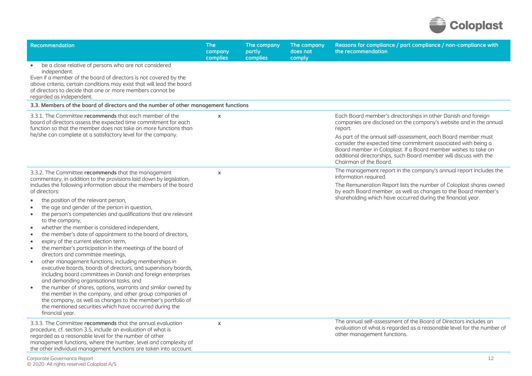

| <b>Recommendation</b>                                                                                                                                                                                                                                                                                                                                                                                                                                                                                                                                                                                                                                                                                                                                                                                                                                                                                                                                                                                                                                                                                                                                                                                                                    | <b>The</b><br>company<br><b>complies</b> | The company<br>partly<br><b>complies</b> | The company<br>does not<br>comply | Reasons for compliance / part compliance / non-compliance with<br>the recommendation                                                                                                                                                                                                                                                                                                                                                              |
|------------------------------------------------------------------------------------------------------------------------------------------------------------------------------------------------------------------------------------------------------------------------------------------------------------------------------------------------------------------------------------------------------------------------------------------------------------------------------------------------------------------------------------------------------------------------------------------------------------------------------------------------------------------------------------------------------------------------------------------------------------------------------------------------------------------------------------------------------------------------------------------------------------------------------------------------------------------------------------------------------------------------------------------------------------------------------------------------------------------------------------------------------------------------------------------------------------------------------------------|------------------------------------------|------------------------------------------|-----------------------------------|---------------------------------------------------------------------------------------------------------------------------------------------------------------------------------------------------------------------------------------------------------------------------------------------------------------------------------------------------------------------------------------------------------------------------------------------------|
| be a close relative of persons who are not considered<br>$\bullet$<br>independent.<br>Even if a member of the board of directors is not covered by the<br>above criteria, certain conditions may exist that will lead the board<br>of directors to decide that one or more members cannot be<br>regarded as independent.                                                                                                                                                                                                                                                                                                                                                                                                                                                                                                                                                                                                                                                                                                                                                                                                                                                                                                                 |                                          |                                          |                                   |                                                                                                                                                                                                                                                                                                                                                                                                                                                   |
| 3.3. Members of the board of directors and the number of other management functions                                                                                                                                                                                                                                                                                                                                                                                                                                                                                                                                                                                                                                                                                                                                                                                                                                                                                                                                                                                                                                                                                                                                                      |                                          |                                          |                                   |                                                                                                                                                                                                                                                                                                                                                                                                                                                   |
| 3.3.1. The Committee recommends that each member of the<br>board of directors assess the expected time commitment for each<br>function so that the member does not take on more functions than<br>he/she can complete at a satisfactory level for the company.                                                                                                                                                                                                                                                                                                                                                                                                                                                                                                                                                                                                                                                                                                                                                                                                                                                                                                                                                                           | $\pmb{\times}$                           |                                          |                                   | Each Board member's directorships in other Danish and foreign<br>companies are disclosed on the company's website and in the annual<br>report.<br>As part of the annual self-assessment, each Board member must<br>consider the expected time commitment associated with being a<br>Board member in Coloplast. If a Board member wishes to take on<br>additional directorships, such Board member will discuss with the<br>Chairman of the Board. |
| 3.3.2. The Committee recommends that the management<br>commentary, in addition to the provisions laid down by legislation,<br>includes the following information about the members of the board<br>of directors:<br>the position of the relevant person,<br>$\bullet$<br>the age and gender of the person in question,<br>the person's competencies and qualifications that are relevant<br>to the company,<br>whether the member is considered independent,<br>$\bullet$<br>the member's date of appointment to the board of directors,<br>$\bullet$<br>expiry of the current election term,<br>$\bullet$<br>the member's participation in the meetings of the board of<br>$\bullet$<br>directors and committee meetings,<br>other management functions, including memberships in<br>executive boards, boards of directors, and supervisory boards,<br>including board committees in Danish and foreign enterprises<br>and demanding organisational tasks, and<br>the number of shares, options, warrants and similar owned by<br>the member in the company, and other group companies of<br>the company, as well as changes to the member's portfolio of<br>the mentioned securities which have occurred during the<br>financial year. | $\pmb{\times}$                           |                                          |                                   | The management report in the company's annual report includes the<br>information required.<br>The Remuneration Report lists the number of Coloplast shares owned<br>by each Board member, as well as changes to the Board member's<br>shareholding which have occurred during the financial year.                                                                                                                                                 |
| 3.3.3. The Committee recommends that the annual evaluation<br>procedure, cf. section 3.5, include an evaluation of what is<br>regarded as a reasonable level for the number of other<br>management functions, where the number, level and complexity of<br>the other individual management functions are taken into account.                                                                                                                                                                                                                                                                                                                                                                                                                                                                                                                                                                                                                                                                                                                                                                                                                                                                                                             | $\boldsymbol{\mathsf{x}}$                |                                          |                                   | The annual self-assessment of the Board of Directors includes an<br>evaluation of what is regarded as a reasonable level for the number of<br>other management functions.                                                                                                                                                                                                                                                                         |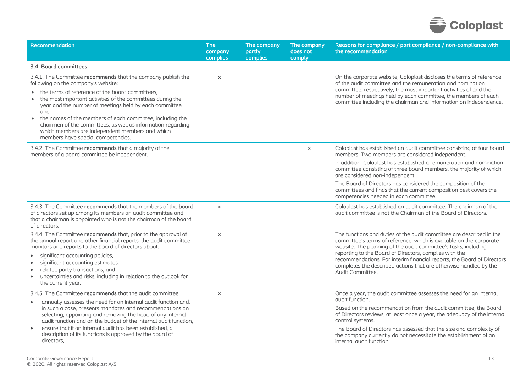

| <b>Recommendation</b>                                                                                                                                                                                                                                                                  | <b>The</b><br>company<br>complies | The company<br>partly<br>complies | The company<br>does not<br>comply | Reasons for compliance / part compliance / non-compliance with<br>the recommendation                                                                                                                                                                                                                                                           |
|----------------------------------------------------------------------------------------------------------------------------------------------------------------------------------------------------------------------------------------------------------------------------------------|-----------------------------------|-----------------------------------|-----------------------------------|------------------------------------------------------------------------------------------------------------------------------------------------------------------------------------------------------------------------------------------------------------------------------------------------------------------------------------------------|
| 3.4. Board committees                                                                                                                                                                                                                                                                  |                                   |                                   |                                   |                                                                                                                                                                                                                                                                                                                                                |
| 3.4.1. The Committee recommends that the company publish the<br>following on the company's website:<br>the terms of reference of the board committees,<br>the most important activities of the committees during the<br>year and the number of meetings held by each committee,<br>and | $\boldsymbol{\mathsf{x}}$         |                                   |                                   | On the corporate website, Coloplast discloses the terms of reference<br>of the audit committee and the remuneration and nomination<br>committee, respectively, the most important activities of and the<br>number of meetings held by each committee, the members of each<br>committee including the chairman and information on independence. |
| the names of the members of each committee, including the<br>$\bullet$<br>chairmen of the committees, as well as information regarding<br>which members are independent members and which<br>members have special competencies.                                                        |                                   |                                   |                                   |                                                                                                                                                                                                                                                                                                                                                |
| 3.4.2. The Committee recommends that a majority of the<br>members of a board committee be independent.                                                                                                                                                                                 |                                   |                                   | $\pmb{\times}$                    | Coloplast has established an audit committee consisting of four board<br>members. Two members are considered independent.                                                                                                                                                                                                                      |
|                                                                                                                                                                                                                                                                                        |                                   |                                   |                                   | In addition, Coloplast has established a remuneration and nomination<br>committee consisting of three board members, the majority of which<br>are considered non-independent.                                                                                                                                                                  |
|                                                                                                                                                                                                                                                                                        |                                   |                                   |                                   | The Board of Directors has considered the composition of the<br>committees and finds that the current composition best covers the<br>competencies needed in each committee.                                                                                                                                                                    |
| 3.4.3. The Committee recommends that the members of the board<br>of directors set up among its members an audit committee and<br>that a chairman is appointed who is not the chairman of the board<br>of directors.                                                                    | $\boldsymbol{\mathsf{x}}$         |                                   |                                   | Coloplast has established an audit committee. The chairman of the<br>audit committee is not the Chairman of the Board of Directors.                                                                                                                                                                                                            |
| 3.4.4. The Committee recommends that, prior to the approval of<br>the annual report and other financial reports, the audit committee<br>monitors and reports to the board of directors about:                                                                                          | $\boldsymbol{\mathsf{x}}$         |                                   |                                   | The functions and duties of the audit committee are described in the<br>committee's terms of reference, which is available on the corporate<br>website. The planning of the audit committee's tasks, including                                                                                                                                 |
| significant accounting policies,<br>significant accounting estimates,<br>$\bullet$<br>related party transactions, and<br>$\bullet$<br>uncertainties and risks, including in relation to the outlook for<br>$\bullet$<br>the current year.                                              |                                   |                                   |                                   | reporting to the Board of Directors, complies with the<br>recommendations. For interim financial reports, the Board of Directors<br>completes the described actions that are otherwise handled by the<br>Audit Committee.                                                                                                                      |
| 3.4.5. The Committee recommends that the audit committee:                                                                                                                                                                                                                              | $\boldsymbol{\mathsf{x}}$         |                                   |                                   | Once a year, the audit committee assesses the need for an internal<br>qudit function.                                                                                                                                                                                                                                                          |
| annually assesses the need for an internal audit function and,<br>$\bullet$<br>in such a case, presents mandates and recommendations on<br>selecting, appointing and removing the head of any internal<br>audit function and on the budget of the internal audit function,             |                                   |                                   |                                   | Based on the recommendation from the audit committee, the Board<br>of Directors reviews, at least once a year, the adequacy of the internal<br>control systems.                                                                                                                                                                                |
| ensure that if an internal audit has been established, a<br>$\bullet$<br>description of its functions is approved by the board of<br>directors,                                                                                                                                        |                                   |                                   |                                   | The Board of Directors has assessed that the size and complexity of<br>the company currently do not necessitate the establishment of an<br>internal audit function.                                                                                                                                                                            |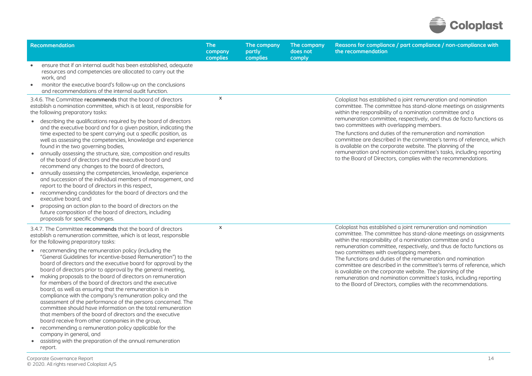

| <b>Recommendation</b>                                                                                                                                                                                                                                                                                                                                                                                                                                                                                                                                                                                                                                                                                                                                                                                                                                                                                                                                                                                                                                                                                          | <b>The</b><br>company<br>complies | The company<br>partly<br>complies | The company<br>does not<br>comply | Reasons for compliance / part compliance / non-compliance with<br>the recommendation                                                                                                                                                                                                                                                                                                                                                                                                                                                                                                                                                                           |
|----------------------------------------------------------------------------------------------------------------------------------------------------------------------------------------------------------------------------------------------------------------------------------------------------------------------------------------------------------------------------------------------------------------------------------------------------------------------------------------------------------------------------------------------------------------------------------------------------------------------------------------------------------------------------------------------------------------------------------------------------------------------------------------------------------------------------------------------------------------------------------------------------------------------------------------------------------------------------------------------------------------------------------------------------------------------------------------------------------------|-----------------------------------|-----------------------------------|-----------------------------------|----------------------------------------------------------------------------------------------------------------------------------------------------------------------------------------------------------------------------------------------------------------------------------------------------------------------------------------------------------------------------------------------------------------------------------------------------------------------------------------------------------------------------------------------------------------------------------------------------------------------------------------------------------------|
| ensure that if an internal audit has been established, adequate<br>resources and competencies are allocated to carry out the<br>work, and<br>monitor the executive board's follow-up on the conclusions<br>and recommendations of the internal audit function.                                                                                                                                                                                                                                                                                                                                                                                                                                                                                                                                                                                                                                                                                                                                                                                                                                                 |                                   |                                   |                                   |                                                                                                                                                                                                                                                                                                                                                                                                                                                                                                                                                                                                                                                                |
| 3.4.6. The Committee recommends that the board of directors<br>establish a nomination committee, which is at least, responsible for<br>the following preparatory tasks:<br>• describing the qualifications required by the board of directors<br>and the executive board and for a given position, indicating the<br>time expected to be spent carrying out a specific position, as<br>well as assessing the competencies, knowledge and experience<br>found in the two governing bodies,<br>annually assessing the structure, size, composition and results<br>of the board of directors and the executive board and<br>recommend any changes to the board of directors,<br>• annually assessing the competencies, knowledge, experience<br>and succession of the individual members of management, and<br>report to the board of directors in this respect,<br>recommending candidates for the board of directors and the<br>executive board, and<br>proposing an action plan to the board of directors on the<br>future composition of the board of directors, including<br>proposals for specific changes. | $\mathsf{x}$                      |                                   |                                   | Coloplast has established a joint remuneration and nomination<br>committee. The committee has stand-alone meetings on assignments<br>within the responsibility of a nomination committee and a<br>remuneration committee, respectively, and thus de facto functions as<br>two committees with overlapping members.<br>The functions and duties of the remuneration and nomination<br>committee are described in the committee's terms of reference, which<br>is available on the corporate website. The planning of the<br>remuneration and nomination committee's tasks, including reporting<br>to the Board of Directors, complies with the recommendations. |
| 3.4.7. The Committee recommends that the board of directors<br>establish a remuneration committee, which is at least, responsible<br>for the following preparatory tasks:<br>recommending the remuneration policy (including the<br>$\bullet$<br>"General Guidelines for incentive-based Remuneration") to the<br>board of directors and the executive board for approval by the<br>board of directors prior to approval by the general meeting,<br>making proposals to the board of directors on remuneration<br>for members of the board of directors and the executive<br>board, as well as ensuring that the remuneration is in<br>compliance with the company's remuneration policy and the<br>assessment of the performance of the persons concerned. The<br>committee should have information on the total remuneration<br>that members of the board of directors and the executive<br>board receive from other companies in the group,<br>• recommending a remuneration policy applicable for the<br>company in general, and<br>• assisting with the preparation of the annual remuneration<br>report. | $\pmb{\chi}$                      |                                   |                                   | Coloplast has established a joint remuneration and nomination<br>committee. The committee has stand-alone meetings on assignments<br>within the responsibility of a nomination committee and a<br>remuneration committee, respectively, and thus de facto functions as<br>two committees with overlapping members.<br>The functions and duties of the remuneration and nomination<br>committee are described in the committee's terms of reference, which<br>is available on the corporate website. The planning of the<br>remuneration and nomination committee's tasks, including reporting<br>to the Board of Directors, complies with the recommendations. |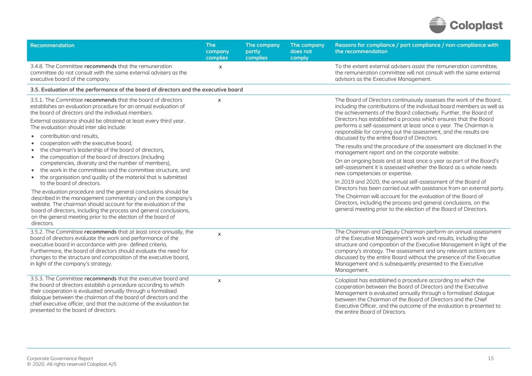

| <b>Recommendation</b>                                                                                                                                                                                                                                                                                                                                                                                                                                            | <b>The</b><br>company<br>complies | The company<br>partly<br>complies | The company<br>does not<br>comply | Reasons for compliance / part compliance / non-compliance with<br>the recommendation                                                                                                                                                                                                                                                                                                                                                                                                                                                                  |
|------------------------------------------------------------------------------------------------------------------------------------------------------------------------------------------------------------------------------------------------------------------------------------------------------------------------------------------------------------------------------------------------------------------------------------------------------------------|-----------------------------------|-----------------------------------|-----------------------------------|-------------------------------------------------------------------------------------------------------------------------------------------------------------------------------------------------------------------------------------------------------------------------------------------------------------------------------------------------------------------------------------------------------------------------------------------------------------------------------------------------------------------------------------------------------|
| 3.4.8. The Committee recommends that the remuneration<br>committee do not consult with the same external advisers as the<br>executive board of the company.                                                                                                                                                                                                                                                                                                      | $\mathsf{x}$                      |                                   |                                   | To the extent external advisers assist the remuneration committee,<br>the remuneration committee will not consult with the same external<br>advisors as the Executive Management.                                                                                                                                                                                                                                                                                                                                                                     |
| 3.5. Evaluation of the performance of the board of directors and the executive board                                                                                                                                                                                                                                                                                                                                                                             |                                   |                                   |                                   |                                                                                                                                                                                                                                                                                                                                                                                                                                                                                                                                                       |
| 3.5.1. The Committee recommends that the board of directors<br>establishes an evaluation procedure for an annual evaluation of<br>the board of directors and the individual members.<br>External assistance should be obtained at least every third year.<br>The evaluation should inter alia include:<br>• contribution and results.<br>cooperation with the executive board.<br>$\bullet$<br>the chairman's leadership of the board of directors,<br>$\bullet$ | $\pmb{\chi}$                      |                                   |                                   | The Board of Directors continuously assesses the work of the Board,<br>including the contributions of the individual board members as well as<br>the achievements of the Board collectively. Further, the Board of<br>Directors has established a process which ensures that the Board<br>performs a self-assessment at least once a year. The Chairman is<br>responsible for carrying out the assessment, and the results are<br>discussed by the entire Board of Directors.<br>The results and the procedure of the assessment are disclosed in the |
| the composition of the board of directors (including<br>$\bullet$<br>competencies, diversity and the number of members),<br>the work in the committees and the committee structure, and<br>$\bullet$<br>the organisation and quality of the material that is submitted<br>$\bullet$<br>to the board of directors.                                                                                                                                                |                                   |                                   |                                   | management report and on the corporate website.<br>On an ongoing basis and at least once a year as part of the Board's<br>self-assessment it is assessed whether the Board as a whole needs<br>new competencies or expertise.<br>In 2019 and 2020, the annual self-assessment of the Board of                                                                                                                                                                                                                                                         |
| The evaluation procedure and the general conclusions should be<br>described in the management commentary and on the company's<br>website. The chairman should account for the evaluation of the<br>board of directors, including the process and general conclusions,<br>on the general meeting prior to the election of the board of<br>directors.                                                                                                              |                                   |                                   |                                   | Directors has been carried out with assistance from an external party.<br>The Chairman will account for the evaluation of the Board of<br>Directors, including the process and general conclusions, on the<br>general meeting prior to the election of the Board of Directors.                                                                                                                                                                                                                                                                        |
| 3.5.2. The Committee recommends that at least once annually, the<br>board of directors evaluate the work and performance of the<br>executive board in accordance with pre- defined criteria.<br>Furthermore, the board of directors should evaluate the need for<br>changes to the structure and composition of the executive board,<br>in light of the company's strategy.                                                                                      | $\boldsymbol{\mathsf{x}}$         |                                   |                                   | The Chairman and Deputy Chairman perform an annual assessment<br>of the Executive Management's work and results, including the<br>structure and composition of the Executive Management in light of the<br>company's strategy. The assessment and any relevant actions are<br>discussed by the entire Board without the presence of the Executive<br>Management and is subsequently presented to the Executive<br>Management.                                                                                                                         |
| 3.5.3. The Committee recommends that the executive board and<br>the board of directors establish a procedure according to which<br>their cooperation is evaluated annually through a formalised<br>dialogue between the chairman of the board of directors and the<br>chief executive officer, and that the outcome of the evaluation be<br>presented to the board of directors.                                                                                 | $\pmb{\mathsf{X}}$                |                                   |                                   | Coloplast has established a procedure according to which the<br>cooperation between the Board of Directors and the Executive<br>Management is evaluated annually through a formalised dialogue<br>between the Chairman of the Board of Directors and the Chief<br>Executive Officer, and the outcome of the evaluation is presented to<br>the entire Board of Directors.                                                                                                                                                                              |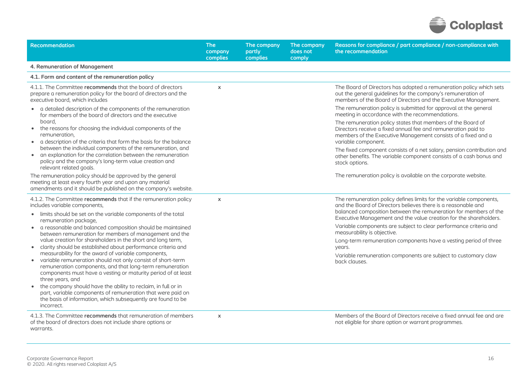

| Recommendation                                                                                                                                                                                                                                                      | <b>The</b><br>company<br>complies | The company<br>partly<br>complies | The company<br>does not<br>comply | Reasons for compliance / part compliance / non-compliance with<br>the recommendation                                                                                                                                                                                          |
|---------------------------------------------------------------------------------------------------------------------------------------------------------------------------------------------------------------------------------------------------------------------|-----------------------------------|-----------------------------------|-----------------------------------|-------------------------------------------------------------------------------------------------------------------------------------------------------------------------------------------------------------------------------------------------------------------------------|
| 4. Remuneration of Management                                                                                                                                                                                                                                       |                                   |                                   |                                   |                                                                                                                                                                                                                                                                               |
| 4.1. Form and content of the remuneration policy                                                                                                                                                                                                                    |                                   |                                   |                                   |                                                                                                                                                                                                                                                                               |
| 4.1.1. The Committee recommends that the board of directors<br>prepare a remuneration policy for the board of directors and the<br>executive board, which includes                                                                                                  | $\boldsymbol{\mathsf{x}}$         |                                   |                                   | The Board of Directors has adopted a remuneration policy which sets<br>out the general guidelines for the company's remuneration of<br>members of the Board of Directors and the Executive Management.                                                                        |
| • a detailed description of the components of the remuneration<br>for members of the board of directors and the executive                                                                                                                                           |                                   |                                   |                                   | The remuneration policy is submitted for approval at the general<br>meeting in accordance with the recommendations.                                                                                                                                                           |
| board.<br>the reasons for choosing the individual components of the<br>remuneration,<br>a description of the criteria that form the basis for the balance<br>$\bullet$                                                                                              |                                   |                                   |                                   | The remuneration policy states that members of the Board of<br>Directors receive a fixed annual fee and remuneration paid to<br>members of the Executive Management consists of a fixed and a<br>variable component.                                                          |
| between the individual components of the remuneration, and<br>an explanation for the correlation between the remuneration<br>$\bullet$<br>policy and the company's long-term value creation and<br>relevant related goals.                                          |                                   |                                   |                                   | The fixed component consists of a net salary, pension contribution and<br>other benefits. The variable component consists of a cash bonus and<br>stock options.                                                                                                               |
| The remuneration policy should be approved by the general<br>meeting at least every fourth year and upon any material<br>amendments and it should be published on the company's website.                                                                            |                                   |                                   |                                   | The remuneration policy is available on the corporate website.                                                                                                                                                                                                                |
| 4.1.2. The Committee recommends that if the remuneration policy<br>includes variable components,<br>• limits should be set on the variable components of the total                                                                                                  | $\boldsymbol{\mathsf{x}}$         |                                   |                                   | The remuneration policy defines limits for the variable components,<br>and the Board of Directors believes there is a reasonable and<br>balanced composition between the remuneration for members of the<br>Executive Management and the value creation for the shareholders. |
| remuneration package,<br>a reasonable and balanced composition should be maintained<br>$\bullet$<br>between remuneration for members of management and the                                                                                                          |                                   |                                   |                                   | Variable components are subject to clear performance criteria and<br>measurability is objective.                                                                                                                                                                              |
| value creation for shareholders in the short and long term,<br>clarity should be established about performance criteria and<br>$\bullet$                                                                                                                            |                                   |                                   |                                   | Long-term remuneration components have a vesting period of three<br>years.                                                                                                                                                                                                    |
| measurability for the award of variable components,<br>variable remuneration should not only consist of short-term<br>remuneration components, and that long-term remuneration<br>components must have a vesting or maturity period of at least<br>three years, and |                                   |                                   |                                   | Variable remuneration components are subject to customary claw<br>back clauses.                                                                                                                                                                                               |
| the company should have the ability to reclaim, in full or in<br>part, variable components of remuneration that were paid on<br>the basis of information, which subsequently are found to be<br>incorrect.                                                          |                                   |                                   |                                   |                                                                                                                                                                                                                                                                               |
| 4.1.3. The Committee recommends that remuneration of members<br>of the board of directors does not include share options or<br>warrants.                                                                                                                            | $\boldsymbol{\mathsf{x}}$         |                                   |                                   | Members of the Board of Directors receive a fixed annual fee and are<br>not eligible for share option or warrant programmes.                                                                                                                                                  |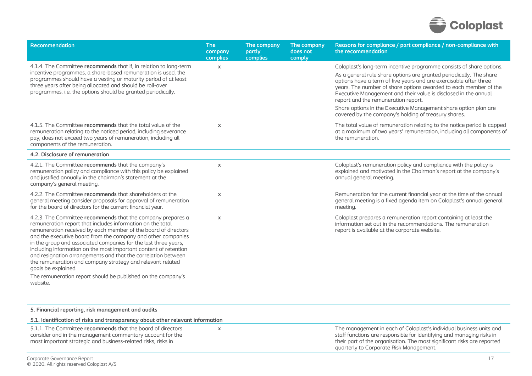

| Recommendation                                                                                                                                                                                                                                                                                                                                                                                                                                                                                                                                                                                                                       | <b>The</b><br>company<br>complies | The company<br>partly<br>complies | The company<br>does not<br>comply | Reasons for compliance / part compliance / non-compliance with<br>the recommendation                                                                                                                                                                                                                                                                                                                                                                                                                                      |
|--------------------------------------------------------------------------------------------------------------------------------------------------------------------------------------------------------------------------------------------------------------------------------------------------------------------------------------------------------------------------------------------------------------------------------------------------------------------------------------------------------------------------------------------------------------------------------------------------------------------------------------|-----------------------------------|-----------------------------------|-----------------------------------|---------------------------------------------------------------------------------------------------------------------------------------------------------------------------------------------------------------------------------------------------------------------------------------------------------------------------------------------------------------------------------------------------------------------------------------------------------------------------------------------------------------------------|
| 4.1.4. The Committee recommends that if, in relation to long-term<br>incentive programmes, a share-based remuneration is used, the<br>programmes should have a vesting or maturity period of at least<br>three years after being allocated and should be roll-over<br>programmes, i.e. the options should be granted periodically.                                                                                                                                                                                                                                                                                                   | $\mathsf{x}$                      |                                   |                                   | Coloplast's long-term incentive programme consists of share options.<br>As a general rule share options are granted periodically. The share<br>options have a term of five years and are exercisable after three<br>years. The number of share options awarded to each member of the<br>Executive Management and their value is disclosed in the annual<br>report and the remuneration report.<br>Share options in the Executive Management share option plan are<br>covered by the company's holding of treasury shares. |
| 4.1.5. The Committee recommends that the total value of the<br>remuneration relating to the noticed period, including severance<br>pay, does not exceed two years of remuneration, including all<br>components of the remuneration.                                                                                                                                                                                                                                                                                                                                                                                                  | $\boldsymbol{\mathsf{x}}$         |                                   |                                   | The total value of remuneration relating to the notice period is capped<br>at a maximum of two years' remuneration, including all components of<br>the remuneration.                                                                                                                                                                                                                                                                                                                                                      |
| 4.2. Disclosure of remuneration                                                                                                                                                                                                                                                                                                                                                                                                                                                                                                                                                                                                      |                                   |                                   |                                   |                                                                                                                                                                                                                                                                                                                                                                                                                                                                                                                           |
| 4.2.1. The Committee recommends that the company's<br>remuneration policy and compliance with this policy be explained<br>and justified annually in the chairman's statement at the<br>company's general meeting.                                                                                                                                                                                                                                                                                                                                                                                                                    | $\pmb{\times}$                    |                                   |                                   | Coloplast's remuneration policy and compliance with the policy is<br>explained and motivated in the Chairman's report at the company's<br>annual general meeting.                                                                                                                                                                                                                                                                                                                                                         |
| 4.2.2. The Committee recommends that shareholders at the<br>general meeting consider proposals for approval of remuneration<br>for the board of directors for the current financial year.                                                                                                                                                                                                                                                                                                                                                                                                                                            | $\pmb{\times}$                    |                                   |                                   | Remuneration for the current financial year at the time of the annual<br>general meeting is a fixed agenda item on Coloplast's annual general<br>meeting.                                                                                                                                                                                                                                                                                                                                                                 |
| 4.2.3. The Committee recommends that the company prepares a<br>remuneration report that includes information on the total<br>remuneration received by each member of the board of directors<br>and the executive board from the company and other companies<br>in the group and associated companies for the last three years,<br>including information on the most important content of retention<br>and resignation arrangements and that the correlation between<br>the remuneration and company strategy and relevant related<br>goals be explained.<br>The remuneration report should be published on the company's<br>website. | $\boldsymbol{\mathsf{x}}$         |                                   |                                   | Coloplast prepares a remuneration report containing at least the<br>information set out in the recommendations. The remuneration<br>report is available at the corporate website.                                                                                                                                                                                                                                                                                                                                         |

| 5. Financial reporting, risk management and audits                                                                                                                                        |                                                                                                                                                                                                                                                                    |
|-------------------------------------------------------------------------------------------------------------------------------------------------------------------------------------------|--------------------------------------------------------------------------------------------------------------------------------------------------------------------------------------------------------------------------------------------------------------------|
| 5.1. Identification of risks and transparency about other relevant information                                                                                                            |                                                                                                                                                                                                                                                                    |
| 5.1.1. The Committee recommends that the board of directors<br>consider and in the management commentary account for the<br>most important strategic and business-related risks, risks in | The management in each of Coloplast's individual business units and<br>staff functions are responsible for identifying and managing risks in<br>their part of the organisation. The most significant risks are reported<br>quarterly to Corporate Risk Management. |